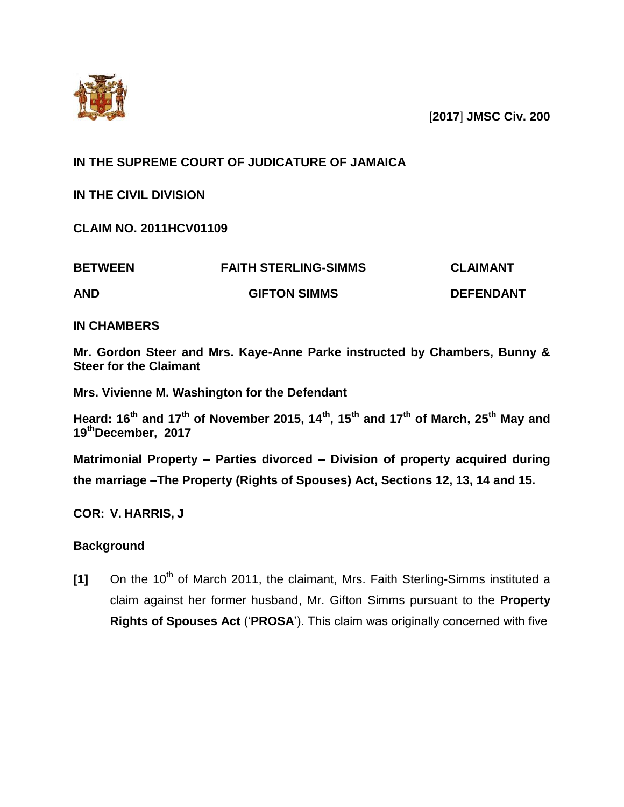

[**2017**] **JMSC Civ. 200**

# **IN THE SUPREME COURT OF JUDICATURE OF JAMAICA**

**IN THE CIVIL DIVISION** 

**CLAIM NO. 2011HCV01109**

| <b>BETWEEN</b> | <b>FAITH STERLING-SIMMS</b> | <b>CLAIMANT</b>  |
|----------------|-----------------------------|------------------|
| <b>AND</b>     | <b>GIFTON SIMMS</b>         | <b>DEFENDANT</b> |

**IN CHAMBERS**

**Mr. Gordon Steer and Mrs. Kaye-Anne Parke instructed by Chambers, Bunny & Steer for the Claimant** 

**Mrs. Vivienne M. Washington for the Defendant** 

**Heard: 16th and 17th of November 2015, 14th, 15th and 17th of March, 25th May and 19thDecember, 2017** 

**Matrimonial Property – Parties divorced – Division of property acquired during the marriage –The Property (Rights of Spouses) Act, Sections 12, 13, 14 and 15.**

**COR: V. HARRIS, J**

# **Background**

**[1]** On the 10<sup>th</sup> of March 2011, the claimant, Mrs. Faith Sterling-Simms instituted a claim against her former husband, Mr. Gifton Simms pursuant to the **Property Rights of Spouses Act** ('**PROSA**'). This claim was originally concerned with five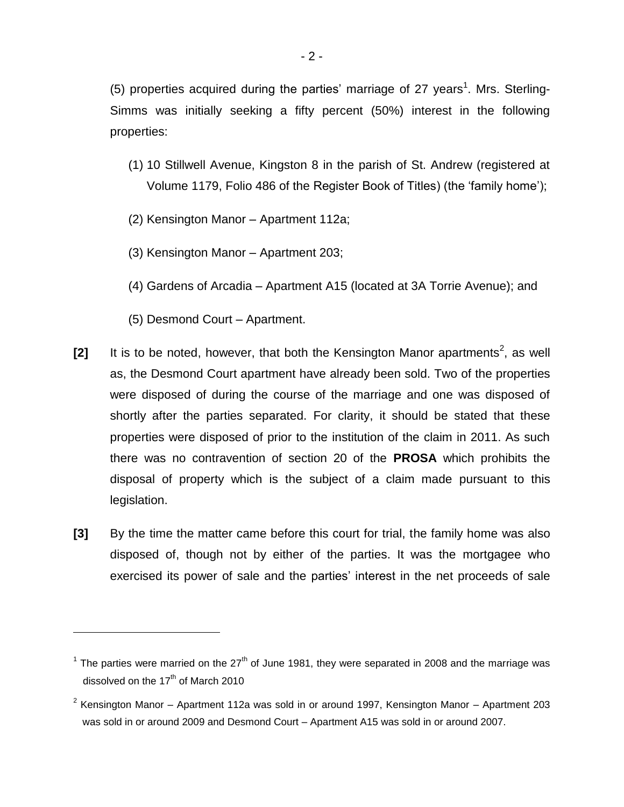(5) properties acquired during the parties' marriage of 27 years<sup>1</sup>. Mrs. Sterling-Simms was initially seeking a fifty percent (50%) interest in the following properties:

- (1) 10 Stillwell Avenue, Kingston 8 in the parish of St. Andrew (registered at Volume 1179, Folio 486 of the Register Book of Titles) (the 'family home');
- (2) Kensington Manor Apartment 112a;
- (3) Kensington Manor Apartment 203;
- (4) Gardens of Arcadia Apartment A15 (located at 3A Torrie Avenue); and
- (5) Desmond Court Apartment.

- [2] It is to be noted, however, that both the Kensington Manor apartments<sup>2</sup>, as well as, the Desmond Court apartment have already been sold. Two of the properties were disposed of during the course of the marriage and one was disposed of shortly after the parties separated. For clarity, it should be stated that these properties were disposed of prior to the institution of the claim in 2011. As such there was no contravention of section 20 of the **PROSA** which prohibits the disposal of property which is the subject of a claim made pursuant to this legislation.
- **[3]** By the time the matter came before this court for trial, the family home was also disposed of, though not by either of the parties. It was the mortgagee who exercised its power of sale and the parties' interest in the net proceeds of sale

<sup>&</sup>lt;sup>1</sup> The parties were married on the 27<sup>th</sup> of June 1981, they were separated in 2008 and the marriage was dissolved on the  $17<sup>th</sup>$  of March 2010

 $2$  Kensington Manor – Apartment 112a was sold in or around 1997, Kensington Manor – Apartment 203 was sold in or around 2009 and Desmond Court – Apartment A15 was sold in or around 2007.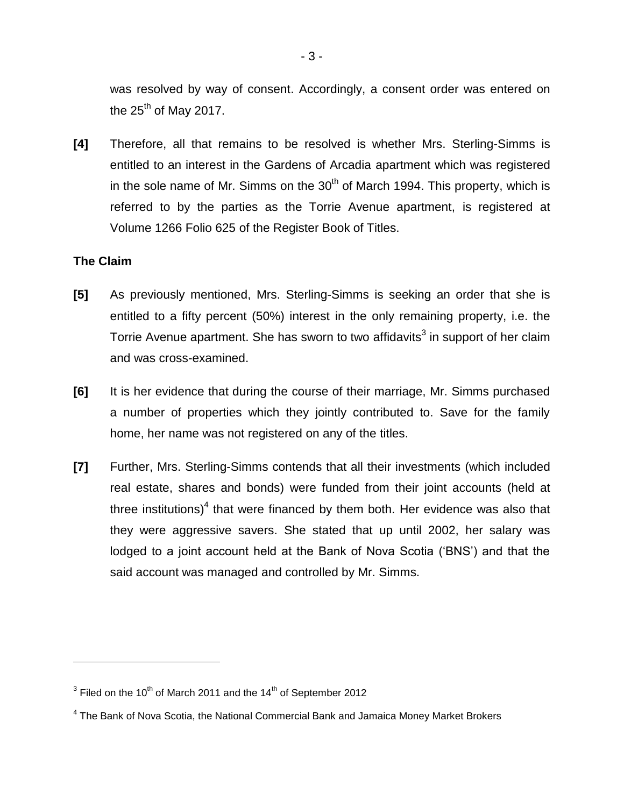was resolved by way of consent. Accordingly, a consent order was entered on the  $25<sup>th</sup>$  of May 2017.

**[4]** Therefore, all that remains to be resolved is whether Mrs. Sterling-Simms is entitled to an interest in the Gardens of Arcadia apartment which was registered in the sole name of Mr. Simms on the  $30<sup>th</sup>$  of March 1994. This property, which is referred to by the parties as the Torrie Avenue apartment, is registered at Volume 1266 Folio 625 of the Register Book of Titles.

## **The Claim**

- **[5]** As previously mentioned, Mrs. Sterling-Simms is seeking an order that she is entitled to a fifty percent (50%) interest in the only remaining property, i.e. the Torrie Avenue apartment. She has sworn to two affidavits<sup>3</sup> in support of her claim and was cross-examined.
- **[6]** It is her evidence that during the course of their marriage, Mr. Simms purchased a number of properties which they jointly contributed to. Save for the family home, her name was not registered on any of the titles.
- **[7]** Further, Mrs. Sterling-Simms contends that all their investments (which included real estate, shares and bonds) were funded from their joint accounts (held at three institutions)<sup>4</sup> that were financed by them both. Her evidence was also that they were aggressive savers. She stated that up until 2002, her salary was lodged to a joint account held at the Bank of Nova Scotia ('BNS') and that the said account was managed and controlled by Mr. Simms.

<sup>&</sup>lt;sup>3</sup> Filed on the 10<sup>th</sup> of March 2011 and the 14<sup>th</sup> of September 2012

<sup>&</sup>lt;sup>4</sup> The Bank of Nova Scotia, the National Commercial Bank and Jamaica Money Market Brokers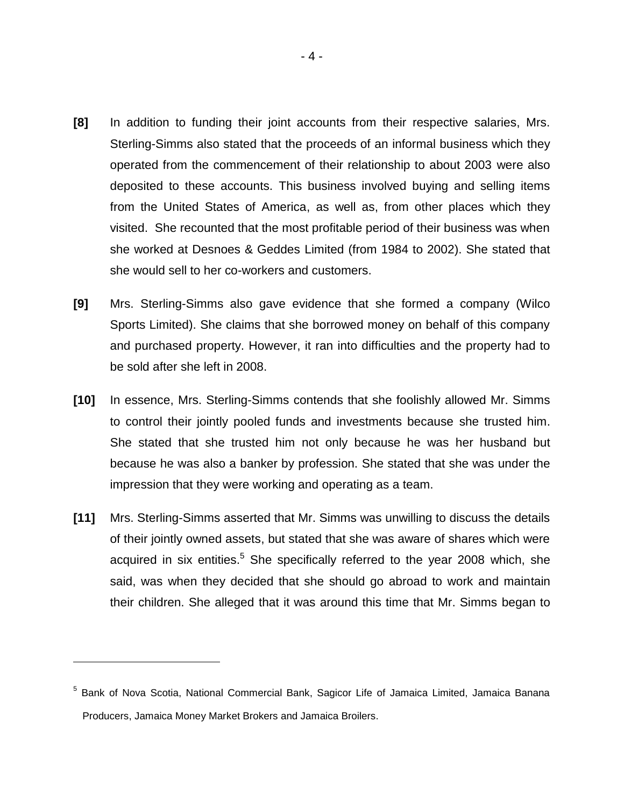- **[8]** In addition to funding their joint accounts from their respective salaries, Mrs. Sterling-Simms also stated that the proceeds of an informal business which they operated from the commencement of their relationship to about 2003 were also deposited to these accounts. This business involved buying and selling items from the United States of America, as well as, from other places which they visited. She recounted that the most profitable period of their business was when she worked at Desnoes & Geddes Limited (from 1984 to 2002). She stated that she would sell to her co-workers and customers.
- **[9]** Mrs. Sterling-Simms also gave evidence that she formed a company (Wilco Sports Limited). She claims that she borrowed money on behalf of this company and purchased property. However, it ran into difficulties and the property had to be sold after she left in 2008.
- **[10]** In essence, Mrs. Sterling-Simms contends that she foolishly allowed Mr. Simms to control their jointly pooled funds and investments because she trusted him. She stated that she trusted him not only because he was her husband but because he was also a banker by profession. She stated that she was under the impression that they were working and operating as a team.
- **[11]** Mrs. Sterling-Simms asserted that Mr. Simms was unwilling to discuss the details of their jointly owned assets, but stated that she was aware of shares which were acquired in six entities.<sup>5</sup> She specifically referred to the year 2008 which, she said, was when they decided that she should go abroad to work and maintain their children. She alleged that it was around this time that Mr. Simms began to

<sup>&</sup>lt;sup>5</sup> Bank of Nova Scotia, National Commercial Bank, Sagicor Life of Jamaica Limited, Jamaica Banana Producers, Jamaica Money Market Brokers and Jamaica Broilers.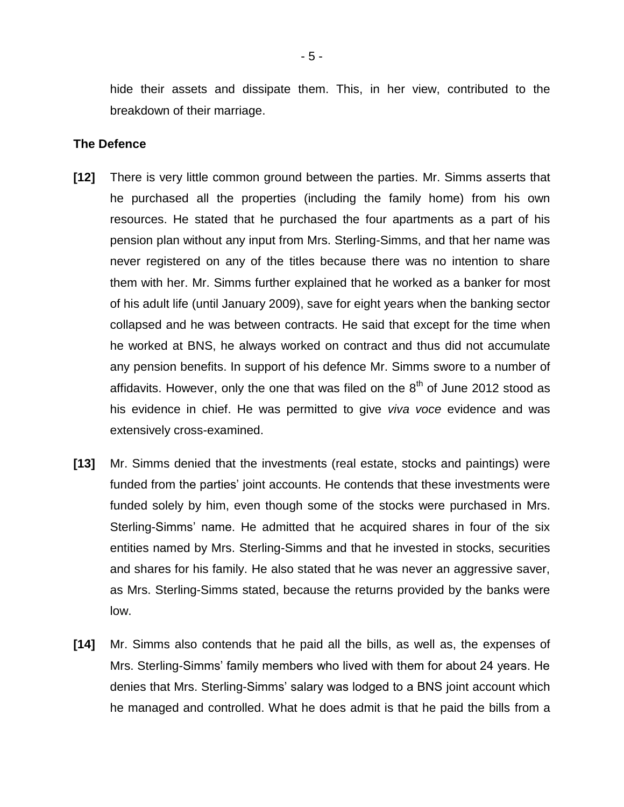hide their assets and dissipate them. This, in her view, contributed to the breakdown of their marriage.

#### **The Defence**

- **[12]** There is very little common ground between the parties. Mr. Simms asserts that he purchased all the properties (including the family home) from his own resources. He stated that he purchased the four apartments as a part of his pension plan without any input from Mrs. Sterling-Simms, and that her name was never registered on any of the titles because there was no intention to share them with her. Mr. Simms further explained that he worked as a banker for most of his adult life (until January 2009), save for eight years when the banking sector collapsed and he was between contracts. He said that except for the time when he worked at BNS, he always worked on contract and thus did not accumulate any pension benefits. In support of his defence Mr. Simms swore to a number of affidavits. However, only the one that was filed on the  $8<sup>th</sup>$  of June 2012 stood as his evidence in chief. He was permitted to give *viva voce* evidence and was extensively cross-examined.
- **[13]** Mr. Simms denied that the investments (real estate, stocks and paintings) were funded from the parties' joint accounts. He contends that these investments were funded solely by him, even though some of the stocks were purchased in Mrs. Sterling-Simms' name. He admitted that he acquired shares in four of the six entities named by Mrs. Sterling-Simms and that he invested in stocks, securities and shares for his family. He also stated that he was never an aggressive saver, as Mrs. Sterling-Simms stated, because the returns provided by the banks were low.
- **[14]** Mr. Simms also contends that he paid all the bills, as well as, the expenses of Mrs. Sterling-Simms' family members who lived with them for about 24 years. He denies that Mrs. Sterling-Simms' salary was lodged to a BNS joint account which he managed and controlled. What he does admit is that he paid the bills from a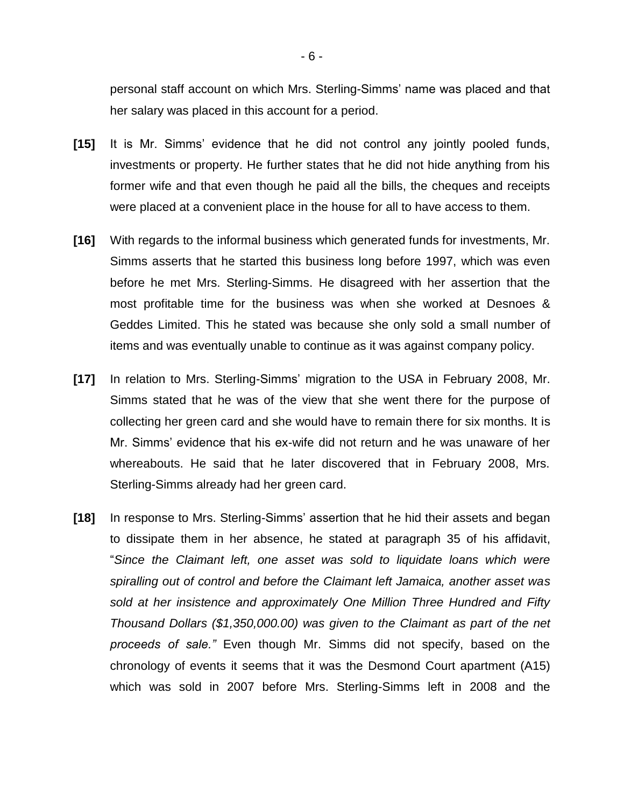personal staff account on which Mrs. Sterling-Simms' name was placed and that her salary was placed in this account for a period.

- **[15]** It is Mr. Simms' evidence that he did not control any jointly pooled funds, investments or property. He further states that he did not hide anything from his former wife and that even though he paid all the bills, the cheques and receipts were placed at a convenient place in the house for all to have access to them.
- **[16]** With regards to the informal business which generated funds for investments, Mr. Simms asserts that he started this business long before 1997, which was even before he met Mrs. Sterling-Simms. He disagreed with her assertion that the most profitable time for the business was when she worked at Desnoes & Geddes Limited. This he stated was because she only sold a small number of items and was eventually unable to continue as it was against company policy.
- **[17]** In relation to Mrs. Sterling-Simms' migration to the USA in February 2008, Mr. Simms stated that he was of the view that she went there for the purpose of collecting her green card and she would have to remain there for six months. It is Mr. Simms' evidence that his ex-wife did not return and he was unaware of her whereabouts. He said that he later discovered that in February 2008, Mrs. Sterling-Simms already had her green card.
- **[18]** In response to Mrs. Sterling-Simms' assertion that he hid their assets and began to dissipate them in her absence, he stated at paragraph 35 of his affidavit, "*Since the Claimant left, one asset was sold to liquidate loans which were spiralling out of control and before the Claimant left Jamaica, another asset was sold at her insistence and approximately One Million Three Hundred and Fifty Thousand Dollars (\$1,350,000.00) was given to the Claimant as part of the net proceeds of sale."* Even though Mr. Simms did not specify, based on the chronology of events it seems that it was the Desmond Court apartment (A15) which was sold in 2007 before Mrs. Sterling-Simms left in 2008 and the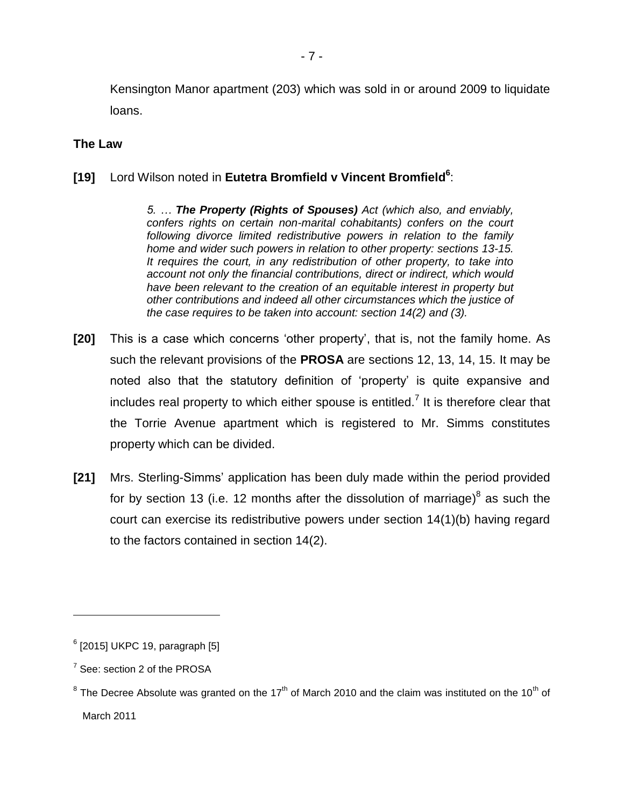Kensington Manor apartment (203) which was sold in or around 2009 to liquidate loans.

### **The Law**

# **[19]** Lord Wilson noted in **Eutetra Bromfield v Vincent Bromfield<sup>6</sup>** :

*5. … The Property (Rights of Spouses) Act (which also, and enviably, confers rights on certain non-marital cohabitants) confers on the court following divorce limited redistributive powers in relation to the family home and wider such powers in relation to other property: sections 13-15. It requires the court, in any redistribution of other property, to take into account not only the financial contributions, direct or indirect, which would have been relevant to the creation of an equitable interest in property but other contributions and indeed all other circumstances which the justice of the case requires to be taken into account: section 14(2) and (3).* 

- **[20]** This is a case which concerns 'other property', that is, not the family home. As such the relevant provisions of the **PROSA** are sections 12, 13, 14, 15. It may be noted also that the statutory definition of 'property' is quite expansive and includes real property to which either spouse is entitled.<sup>7</sup> It is therefore clear that the Torrie Avenue apartment which is registered to Mr. Simms constitutes property which can be divided.
- **[21]** Mrs. Sterling-Simms' application has been duly made within the period provided for by section 13 (i.e. 12 months after the dissolution of marriage) $^8$  as such the court can exercise its redistributive powers under section 14(1)(b) having regard to the factors contained in section 14(2).

 $^6$  [2015] UKPC 19, paragraph [5]

 $7$  See: section 2 of the PROSA

 $^8$  The Decree Absolute was granted on the 17<sup>th</sup> of March 2010 and the claim was instituted on the 10<sup>th</sup> of March 2011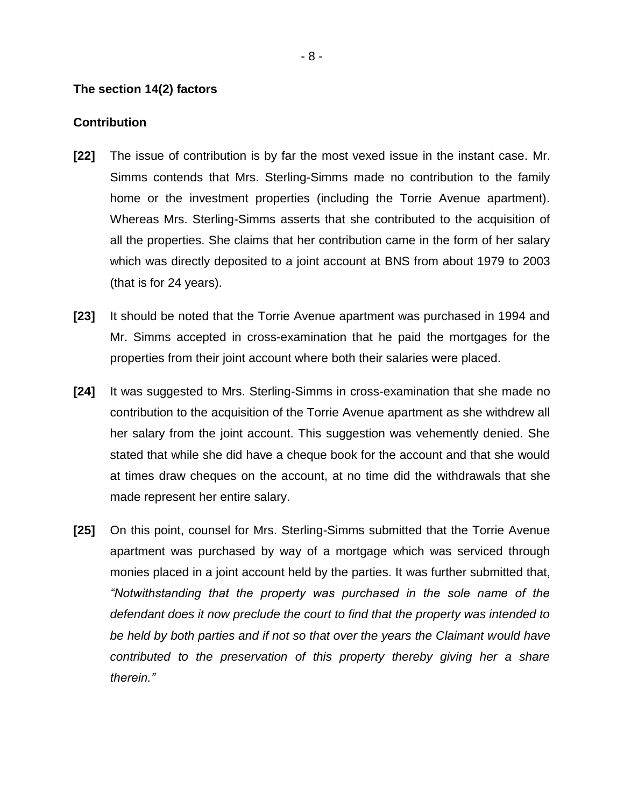#### **The section 14(2) factors**

#### **Contribution**

- **[22]** The issue of contribution is by far the most vexed issue in the instant case. Mr. Simms contends that Mrs. Sterling-Simms made no contribution to the family home or the investment properties (including the Torrie Avenue apartment). Whereas Mrs. Sterling-Simms asserts that she contributed to the acquisition of all the properties. She claims that her contribution came in the form of her salary which was directly deposited to a joint account at BNS from about 1979 to 2003 (that is for 24 years).
- **[23]** It should be noted that the Torrie Avenue apartment was purchased in 1994 and Mr. Simms accepted in cross-examination that he paid the mortgages for the properties from their joint account where both their salaries were placed.
- **[24]** It was suggested to Mrs. Sterling-Simms in cross-examination that she made no contribution to the acquisition of the Torrie Avenue apartment as she withdrew all her salary from the joint account. This suggestion was vehemently denied. She stated that while she did have a cheque book for the account and that she would at times draw cheques on the account, at no time did the withdrawals that she made represent her entire salary.
- **[25]** On this point, counsel for Mrs. Sterling-Simms submitted that the Torrie Avenue apartment was purchased by way of a mortgage which was serviced through monies placed in a joint account held by the parties. It was further submitted that, *"Notwithstanding that the property was purchased in the sole name of the defendant does it now preclude the court to find that the property was intended to be held by both parties and if not so that over the years the Claimant would have contributed to the preservation of this property thereby giving her a share therein."*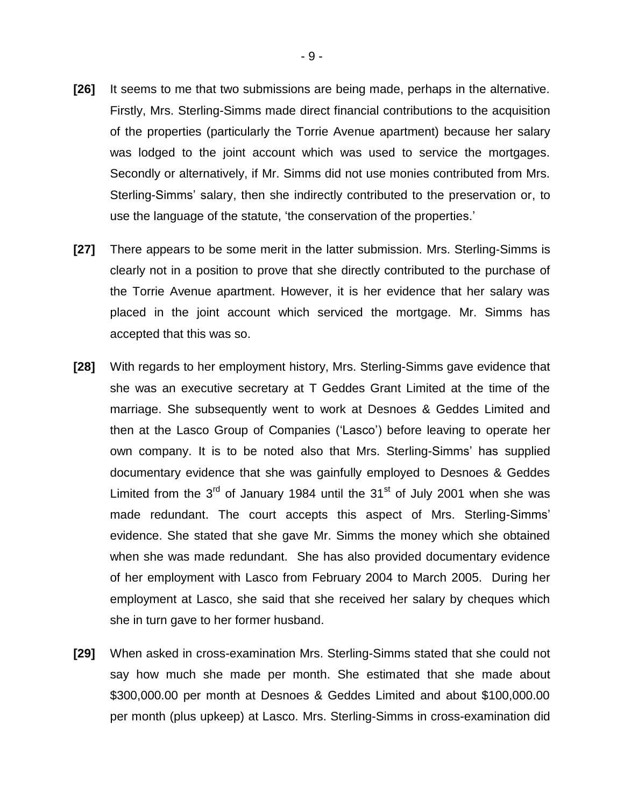- **[26]** It seems to me that two submissions are being made, perhaps in the alternative. Firstly, Mrs. Sterling-Simms made direct financial contributions to the acquisition of the properties (particularly the Torrie Avenue apartment) because her salary was lodged to the joint account which was used to service the mortgages. Secondly or alternatively, if Mr. Simms did not use monies contributed from Mrs. Sterling-Simms' salary, then she indirectly contributed to the preservation or, to use the language of the statute, 'the conservation of the properties.'
- **[27]** There appears to be some merit in the latter submission. Mrs. Sterling-Simms is clearly not in a position to prove that she directly contributed to the purchase of the Torrie Avenue apartment. However, it is her evidence that her salary was placed in the joint account which serviced the mortgage. Mr. Simms has accepted that this was so.
- **[28]** With regards to her employment history, Mrs. Sterling-Simms gave evidence that she was an executive secretary at T Geddes Grant Limited at the time of the marriage. She subsequently went to work at Desnoes & Geddes Limited and then at the Lasco Group of Companies ('Lasco') before leaving to operate her own company. It is to be noted also that Mrs. Sterling-Simms' has supplied documentary evidence that she was gainfully employed to Desnoes & Geddes Limited from the  $3<sup>rd</sup>$  of January 1984 until the  $31<sup>st</sup>$  of July 2001 when she was made redundant. The court accepts this aspect of Mrs. Sterling-Simms' evidence. She stated that she gave Mr. Simms the money which she obtained when she was made redundant. She has also provided documentary evidence of her employment with Lasco from February 2004 to March 2005. During her employment at Lasco, she said that she received her salary by cheques which she in turn gave to her former husband.
- **[29]** When asked in cross-examination Mrs. Sterling-Simms stated that she could not say how much she made per month. She estimated that she made about \$300,000.00 per month at Desnoes & Geddes Limited and about \$100,000.00 per month (plus upkeep) at Lasco. Mrs. Sterling-Simms in cross-examination did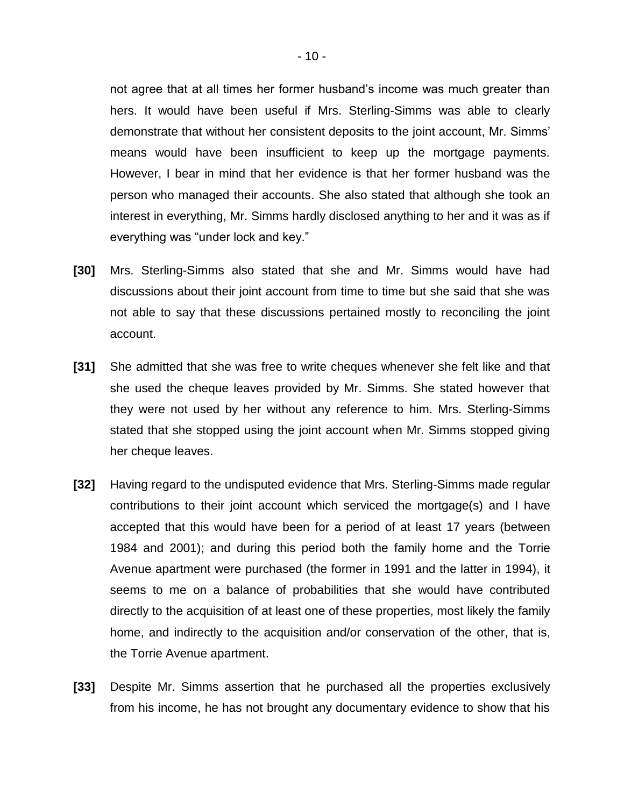not agree that at all times her former husband's income was much greater than hers. It would have been useful if Mrs. Sterling-Simms was able to clearly demonstrate that without her consistent deposits to the joint account, Mr. Simms' means would have been insufficient to keep up the mortgage payments. However, I bear in mind that her evidence is that her former husband was the person who managed their accounts. She also stated that although she took an interest in everything, Mr. Simms hardly disclosed anything to her and it was as if everything was "under lock and key."

- **[30]** Mrs. Sterling-Simms also stated that she and Mr. Simms would have had discussions about their joint account from time to time but she said that she was not able to say that these discussions pertained mostly to reconciling the joint account.
- **[31]** She admitted that she was free to write cheques whenever she felt like and that she used the cheque leaves provided by Mr. Simms. She stated however that they were not used by her without any reference to him. Mrs. Sterling-Simms stated that she stopped using the joint account when Mr. Simms stopped giving her cheque leaves.
- **[32]** Having regard to the undisputed evidence that Mrs. Sterling-Simms made regular contributions to their joint account which serviced the mortgage(s) and I have accepted that this would have been for a period of at least 17 years (between 1984 and 2001); and during this period both the family home and the Torrie Avenue apartment were purchased (the former in 1991 and the latter in 1994), it seems to me on a balance of probabilities that she would have contributed directly to the acquisition of at least one of these properties, most likely the family home, and indirectly to the acquisition and/or conservation of the other, that is, the Torrie Avenue apartment.
- **[33]** Despite Mr. Simms assertion that he purchased all the properties exclusively from his income, he has not brought any documentary evidence to show that his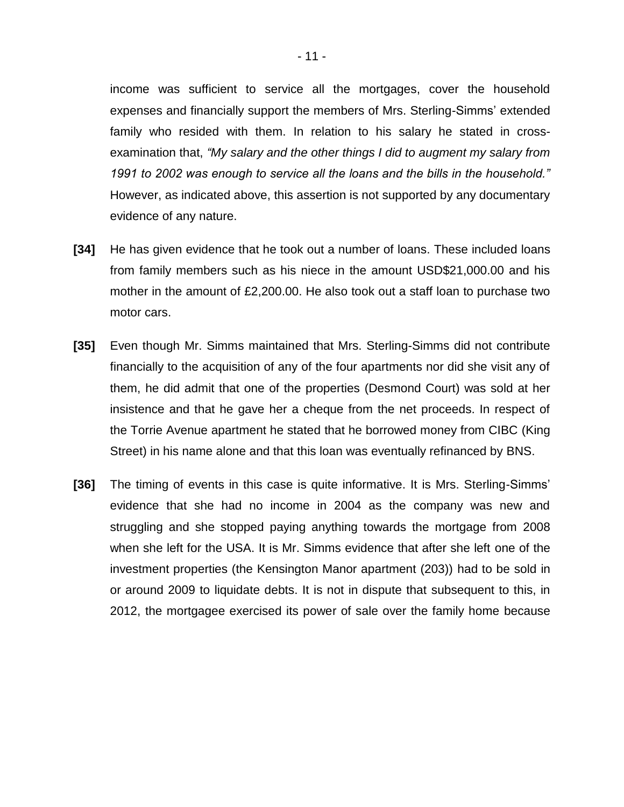income was sufficient to service all the mortgages, cover the household expenses and financially support the members of Mrs. Sterling-Simms' extended family who resided with them. In relation to his salary he stated in crossexamination that, *"My salary and the other things I did to augment my salary from 1991 to 2002 was enough to service all the loans and the bills in the household."*  However, as indicated above, this assertion is not supported by any documentary evidence of any nature.

- **[34]** He has given evidence that he took out a number of loans. These included loans from family members such as his niece in the amount USD\$21,000.00 and his mother in the amount of £2,200.00. He also took out a staff loan to purchase two motor cars.
- **[35]** Even though Mr. Simms maintained that Mrs. Sterling-Simms did not contribute financially to the acquisition of any of the four apartments nor did she visit any of them, he did admit that one of the properties (Desmond Court) was sold at her insistence and that he gave her a cheque from the net proceeds. In respect of the Torrie Avenue apartment he stated that he borrowed money from CIBC (King Street) in his name alone and that this loan was eventually refinanced by BNS.
- **[36]** The timing of events in this case is quite informative. It is Mrs. Sterling-Simms' evidence that she had no income in 2004 as the company was new and struggling and she stopped paying anything towards the mortgage from 2008 when she left for the USA. It is Mr. Simms evidence that after she left one of the investment properties (the Kensington Manor apartment (203)) had to be sold in or around 2009 to liquidate debts. It is not in dispute that subsequent to this, in 2012, the mortgagee exercised its power of sale over the family home because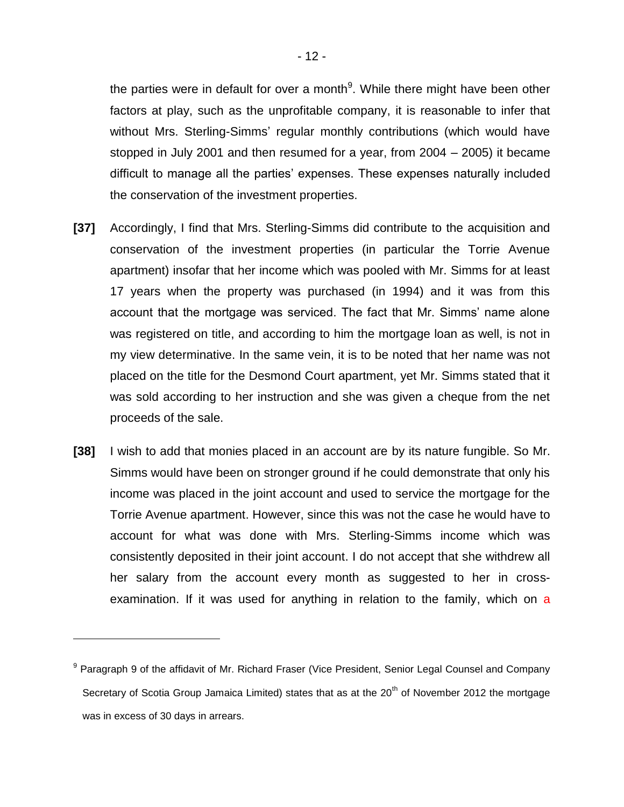the parties were in default for over a month<sup>9</sup>. While there might have been other factors at play, such as the unprofitable company, it is reasonable to infer that without Mrs. Sterling-Simms' regular monthly contributions (which would have stopped in July 2001 and then resumed for a year, from 2004 – 2005) it became difficult to manage all the parties' expenses. These expenses naturally included the conservation of the investment properties.

- **[37]** Accordingly, I find that Mrs. Sterling-Simms did contribute to the acquisition and conservation of the investment properties (in particular the Torrie Avenue apartment) insofar that her income which was pooled with Mr. Simms for at least 17 years when the property was purchased (in 1994) and it was from this account that the mortgage was serviced. The fact that Mr. Simms' name alone was registered on title, and according to him the mortgage loan as well, is not in my view determinative. In the same vein, it is to be noted that her name was not placed on the title for the Desmond Court apartment, yet Mr. Simms stated that it was sold according to her instruction and she was given a cheque from the net proceeds of the sale.
- **[38]** I wish to add that monies placed in an account are by its nature fungible. So Mr. Simms would have been on stronger ground if he could demonstrate that only his income was placed in the joint account and used to service the mortgage for the Torrie Avenue apartment. However, since this was not the case he would have to account for what was done with Mrs. Sterling-Simms income which was consistently deposited in their joint account. I do not accept that she withdrew all her salary from the account every month as suggested to her in crossexamination. If it was used for anything in relation to the family, which on a

<sup>&</sup>lt;sup>9</sup> Paragraph 9 of the affidavit of Mr. Richard Fraser (Vice President, Senior Legal Counsel and Company Secretary of Scotia Group Jamaica Limited) states that as at the 20<sup>th</sup> of November 2012 the mortgage was in excess of 30 days in arrears.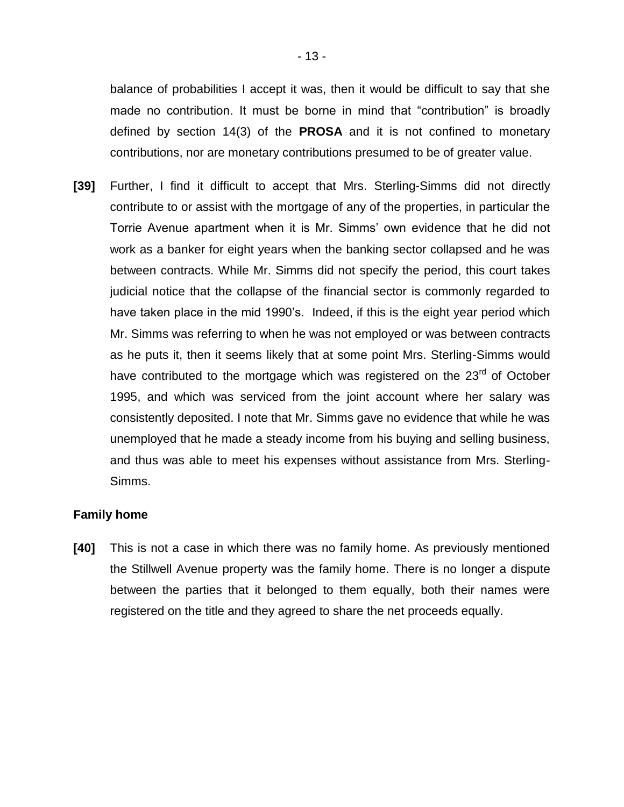balance of probabilities I accept it was, then it would be difficult to say that she made no contribution. It must be borne in mind that "contribution" is broadly defined by section 14(3) of the **PROSA** and it is not confined to monetary contributions, nor are monetary contributions presumed to be of greater value.

**[39]** Further, I find it difficult to accept that Mrs. Sterling-Simms did not directly contribute to or assist with the mortgage of any of the properties, in particular the Torrie Avenue apartment when it is Mr. Simms' own evidence that he did not work as a banker for eight years when the banking sector collapsed and he was between contracts. While Mr. Simms did not specify the period, this court takes judicial notice that the collapse of the financial sector is commonly regarded to have taken place in the mid 1990's. Indeed, if this is the eight year period which Mr. Simms was referring to when he was not employed or was between contracts as he puts it, then it seems likely that at some point Mrs. Sterling-Simms would have contributed to the mortgage which was registered on the 23<sup>rd</sup> of October 1995, and which was serviced from the joint account where her salary was consistently deposited. I note that Mr. Simms gave no evidence that while he was unemployed that he made a steady income from his buying and selling business, and thus was able to meet his expenses without assistance from Mrs. Sterling-Simms.

## **Family home**

**[40]** This is not a case in which there was no family home. As previously mentioned the Stillwell Avenue property was the family home. There is no longer a dispute between the parties that it belonged to them equally, both their names were registered on the title and they agreed to share the net proceeds equally.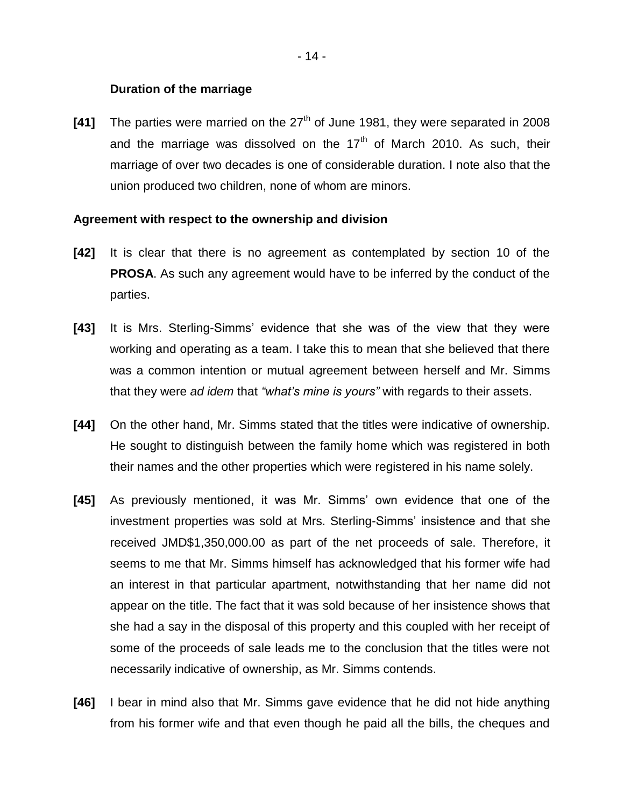### **Duration of the marriage**

**[41]** The parties were married on the 27<sup>th</sup> of June 1981, they were separated in 2008 and the marriage was dissolved on the  $17<sup>th</sup>$  of March 2010. As such, their marriage of over two decades is one of considerable duration. I note also that the union produced two children, none of whom are minors.

#### **Agreement with respect to the ownership and division**

- **[42]** It is clear that there is no agreement as contemplated by section 10 of the **PROSA**. As such any agreement would have to be inferred by the conduct of the parties.
- **[43]** It is Mrs. Sterling-Simms' evidence that she was of the view that they were working and operating as a team. I take this to mean that she believed that there was a common intention or mutual agreement between herself and Mr. Simms that they were *ad idem* that *"what's mine is yours"* with regards to their assets.
- **[44]** On the other hand, Mr. Simms stated that the titles were indicative of ownership. He sought to distinguish between the family home which was registered in both their names and the other properties which were registered in his name solely.
- **[45]** As previously mentioned, it was Mr. Simms' own evidence that one of the investment properties was sold at Mrs. Sterling-Simms' insistence and that she received JMD\$1,350,000.00 as part of the net proceeds of sale. Therefore, it seems to me that Mr. Simms himself has acknowledged that his former wife had an interest in that particular apartment, notwithstanding that her name did not appear on the title. The fact that it was sold because of her insistence shows that she had a say in the disposal of this property and this coupled with her receipt of some of the proceeds of sale leads me to the conclusion that the titles were not necessarily indicative of ownership, as Mr. Simms contends.
- **[46]** I bear in mind also that Mr. Simms gave evidence that he did not hide anything from his former wife and that even though he paid all the bills, the cheques and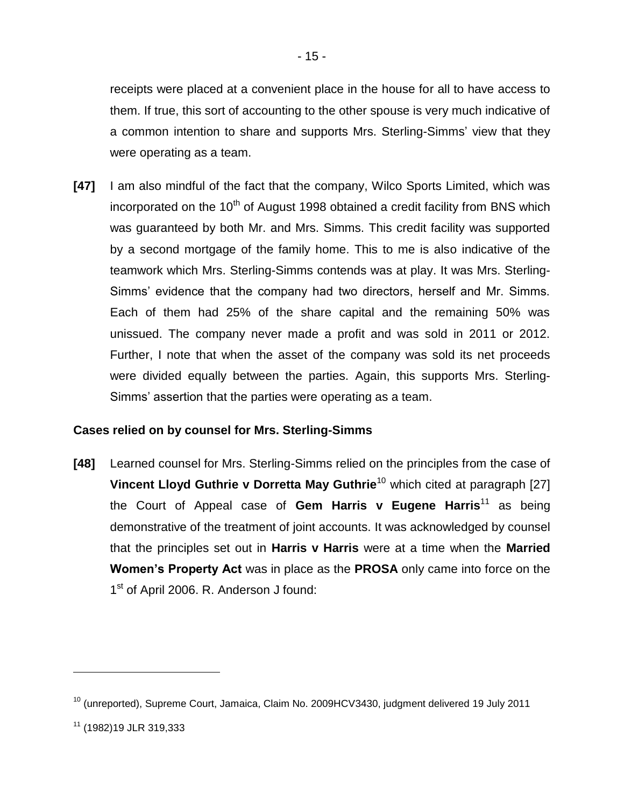receipts were placed at a convenient place in the house for all to have access to them. If true, this sort of accounting to the other spouse is very much indicative of a common intention to share and supports Mrs. Sterling-Simms' view that they were operating as a team.

**[47]** I am also mindful of the fact that the company, Wilco Sports Limited, which was incorporated on the  $10<sup>th</sup>$  of August 1998 obtained a credit facility from BNS which was guaranteed by both Mr. and Mrs. Simms. This credit facility was supported by a second mortgage of the family home. This to me is also indicative of the teamwork which Mrs. Sterling-Simms contends was at play. It was Mrs. Sterling-Simms' evidence that the company had two directors, herself and Mr. Simms. Each of them had 25% of the share capital and the remaining 50% was unissued. The company never made a profit and was sold in 2011 or 2012. Further, I note that when the asset of the company was sold its net proceeds were divided equally between the parties. Again, this supports Mrs. Sterling-Simms' assertion that the parties were operating as a team.

## **Cases relied on by counsel for Mrs. Sterling-Simms**

**[48]** Learned counsel for Mrs. Sterling-Simms relied on the principles from the case of **Vincent Lloyd Guthrie v Dorretta May Guthrie<sup>10</sup> which cited at paragraph [27]** the Court of Appeal case of **Gem Harris v Eugene Harris**<sup>11</sup> as being demonstrative of the treatment of joint accounts. It was acknowledged by counsel that the principles set out in **Harris v Harris** were at a time when the **Married Women's Property Act** was in place as the **PROSA** only came into force on the 1<sup>st</sup> of April 2006. R. Anderson J found:

<sup>&</sup>lt;sup>10</sup> (unreported), Supreme Court, Jamaica, Claim No. 2009HCV3430, judgment delivered 19 July 2011

<sup>11</sup> (1982)19 JLR 319,333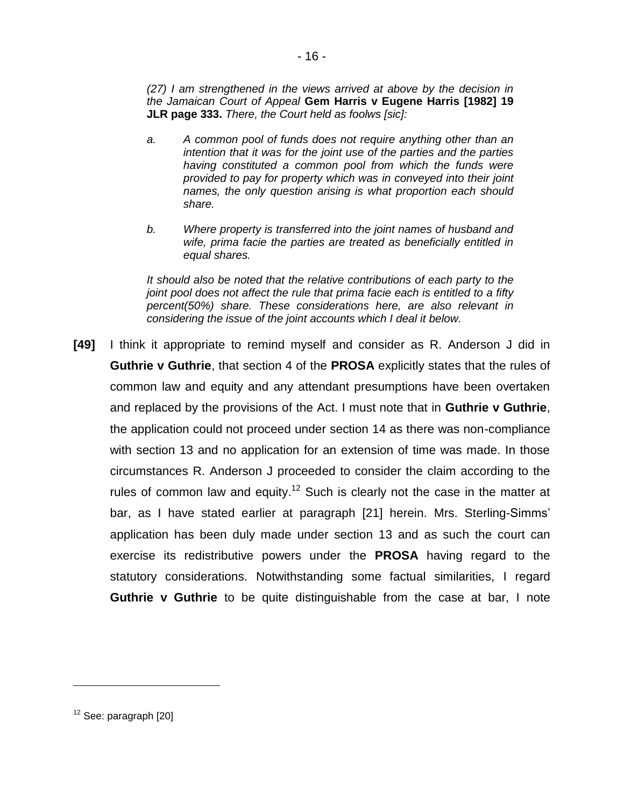*(27) I am strengthened in the views arrived at above by the decision in the Jamaican Court of Appeal* **Gem Harris v Eugene Harris [1982] 19 JLR page 333.** *There, the Court held as foolws [sic]:*

- *a. A common pool of funds does not require anything other than an intention that it was for the joint use of the parties and the parties having constituted a common pool from which the funds were provided to pay for property which was in conveyed into their joint names, the only question arising is what proportion each should share.*
- *b. Where property is transferred into the joint names of husband and wife, prima facie the parties are treated as beneficially entitled in equal shares.*

*It should also be noted that the relative contributions of each party to the joint pool does not affect the rule that prima facie each is entitled to a fifty percent(50%) share. These considerations here, are also relevant in considering the issue of the joint accounts which I deal it below.* 

**[49]** I think it appropriate to remind myself and consider as R. Anderson J did in **Guthrie v Guthrie**, that section 4 of the **PROSA** explicitly states that the rules of common law and equity and any attendant presumptions have been overtaken and replaced by the provisions of the Act. I must note that in **Guthrie v Guthrie**, the application could not proceed under section 14 as there was non-compliance with section 13 and no application for an extension of time was made. In those circumstances R. Anderson J proceeded to consider the claim according to the rules of common law and equity.<sup>12</sup> Such is clearly not the case in the matter at bar, as I have stated earlier at paragraph [21] herein. Mrs. Sterling-Simms' application has been duly made under section 13 and as such the court can exercise its redistributive powers under the **PROSA** having regard to the statutory considerations. Notwithstanding some factual similarities, I regard **Guthrie v Guthrie** to be quite distinguishable from the case at bar, I note

 $12$  See: paragraph  $[20]$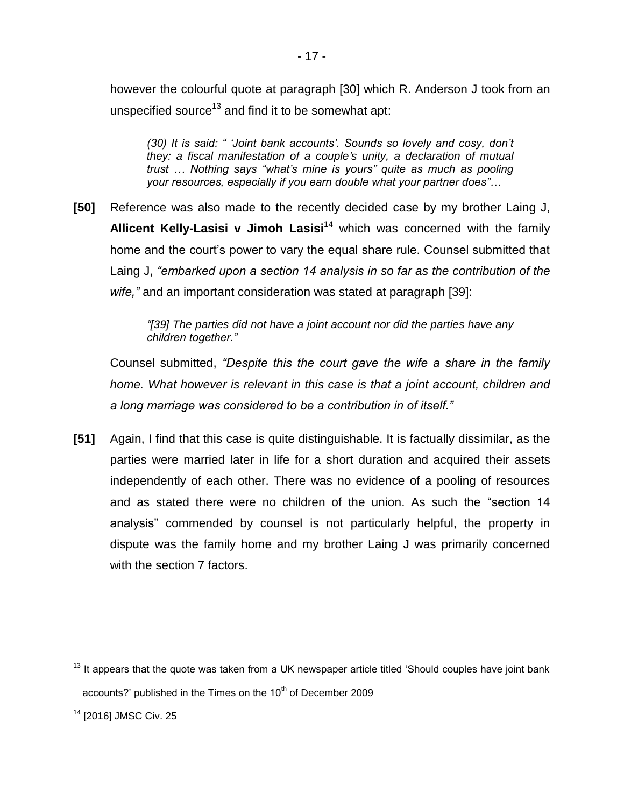however the colourful quote at paragraph [30] which R. Anderson J took from an unspecified source<sup>13</sup> and find it to be somewhat apt:

*(30) It is said: " 'Joint bank accounts'. Sounds so lovely and cosy, don't they: a fiscal manifestation of a couple's unity, a declaration of mutual trust … Nothing says "what's mine is yours" quite as much as pooling your resources, especially if you earn double what your partner does"…* 

**[50]** Reference was also made to the recently decided case by my brother Laing J, **Allicent Kelly-Lasisi v Jimoh Lasisi**<sup>14</sup> which was concerned with the family home and the court's power to vary the equal share rule. Counsel submitted that Laing J, *"embarked upon a section 14 analysis in so far as the contribution of the wife,"* and an important consideration was stated at paragraph [39]:

> *"[39] The parties did not have a joint account nor did the parties have any children together."*

Counsel submitted, *"Despite this the court gave the wife a share in the family home. What however is relevant in this case is that a joint account, children and a long marriage was considered to be a contribution in of itself."*

**[51]** Again, I find that this case is quite distinguishable. It is factually dissimilar, as the parties were married later in life for a short duration and acquired their assets independently of each other. There was no evidence of a pooling of resources and as stated there were no children of the union. As such the "section 14 analysis" commended by counsel is not particularly helpful, the property in dispute was the family home and my brother Laing J was primarily concerned with the section 7 factors.

 $13$  It appears that the quote was taken from a UK newspaper article titled 'Should couples have joint bank accounts?' published in the Times on the 10<sup>th</sup> of December 2009

<sup>14</sup> [2016] JMSC Civ. 25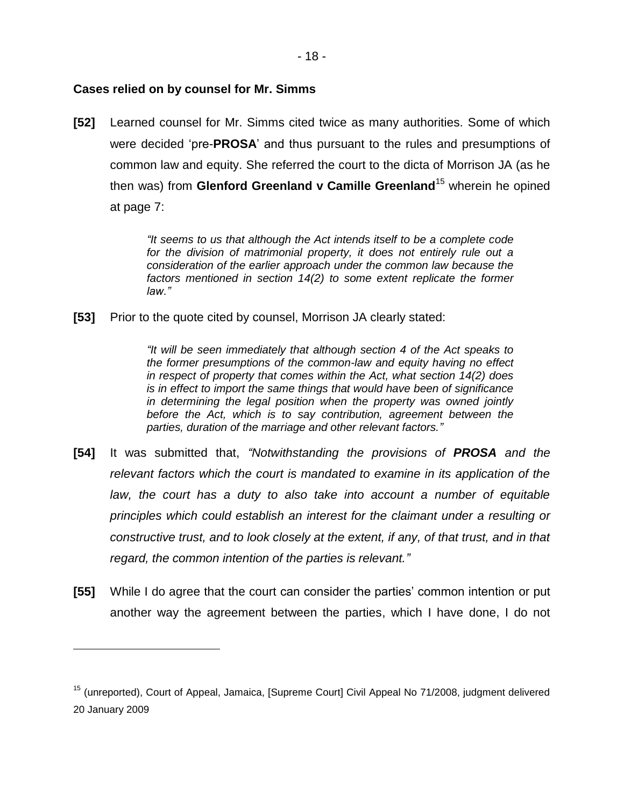### **Cases relied on by counsel for Mr. Simms**

 $\overline{a}$ 

**[52]** Learned counsel for Mr. Simms cited twice as many authorities. Some of which were decided 'pre-**PROSA**' and thus pursuant to the rules and presumptions of common law and equity. She referred the court to the dicta of Morrison JA (as he then was) from **Glenford Greenland v Camille Greenland**<sup>15</sup> wherein he opined at page 7:

> *"It seems to us that although the Act intends itself to be a complete code*  for the division of matrimonial property, it does not entirely rule out a *consideration of the earlier approach under the common law because the factors mentioned in section 14(2) to some extent replicate the former law."*

**[53]** Prior to the quote cited by counsel, Morrison JA clearly stated:

*"It will be seen immediately that although section 4 of the Act speaks to the former presumptions of the common-law and equity having no effect in respect of property that comes within the Act, what section 14(2) does is in effect to import the same things that would have been of significance in determining the legal position when the property was owned jointly before the Act, which is to say contribution, agreement between the parties, duration of the marriage and other relevant factors."* 

- **[54]** It was submitted that, *"Notwithstanding the provisions of PROSA and the relevant factors which the court is mandated to examine in its application of the law, the court has a duty to also take into account a number of equitable principles which could establish an interest for the claimant under a resulting or constructive trust, and to look closely at the extent, if any, of that trust, and in that regard, the common intention of the parties is relevant."*
- **[55]** While I do agree that the court can consider the parties' common intention or put another way the agreement between the parties, which I have done, I do not

<sup>&</sup>lt;sup>15</sup> (unreported), Court of Appeal, Jamaica, [Supreme Court] Civil Appeal No 71/2008, judgment delivered 20 January 2009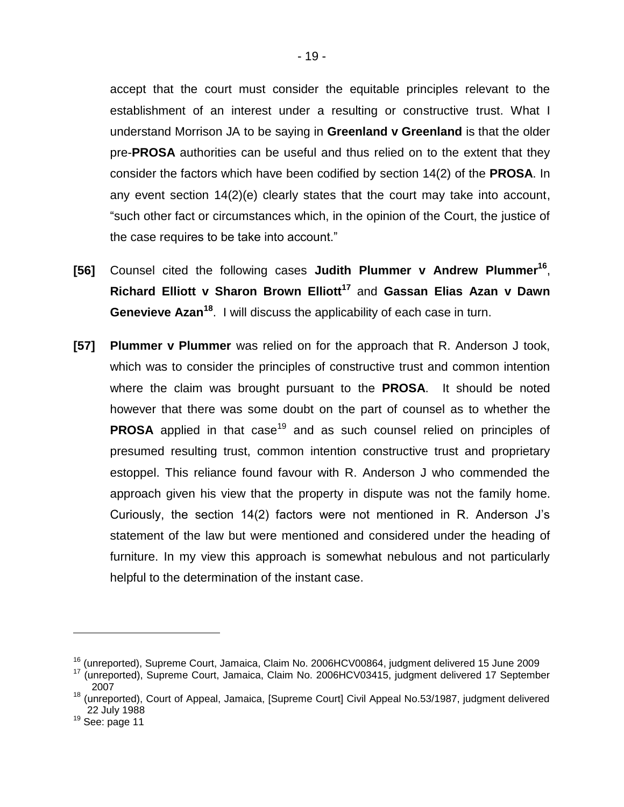accept that the court must consider the equitable principles relevant to the establishment of an interest under a resulting or constructive trust. What I understand Morrison JA to be saying in **Greenland v Greenland** is that the older pre-**PROSA** authorities can be useful and thus relied on to the extent that they consider the factors which have been codified by section 14(2) of the **PROSA**. In any event section 14(2)(e) clearly states that the court may take into account, "such other fact or circumstances which, in the opinion of the Court, the justice of the case requires to be take into account."

- **[56]** Counsel cited the following cases **Judith Plummer v Andrew Plummer<sup>16</sup>** , **Richard Elliott v Sharon Brown Elliott<sup>17</sup>** and **Gassan Elias Azan v Dawn Genevieve Azan<sup>18</sup>** . I will discuss the applicability of each case in turn.
- **[57] Plummer v Plummer** was relied on for the approach that R. Anderson J took, which was to consider the principles of constructive trust and common intention where the claim was brought pursuant to the **PROSA**. It should be noted however that there was some doubt on the part of counsel as to whether the **PROSA** applied in that case<sup>19</sup> and as such counsel relied on principles of presumed resulting trust, common intention constructive trust and proprietary estoppel. This reliance found favour with R. Anderson J who commended the approach given his view that the property in dispute was not the family home. Curiously, the section 14(2) factors were not mentioned in R. Anderson J's statement of the law but were mentioned and considered under the heading of furniture. In my view this approach is somewhat nebulous and not particularly helpful to the determination of the instant case.

<sup>&</sup>lt;sup>16</sup> (unreported), Supreme Court, Jamaica, Claim No. 2006HCV00864, judgment delivered 15 June 2009

<sup>&</sup>lt;sup>17</sup> (unreported), Supreme Court, Jamaica, Claim No. 2006HCV03415, judgment delivered 17 September 2007

<sup>&</sup>lt;sup>18</sup> (unreported), Court of Appeal, Jamaica, [Supreme Court] Civil Appeal No.53/1987, judgment delivered 22 July 1988

 $19$  See: page 11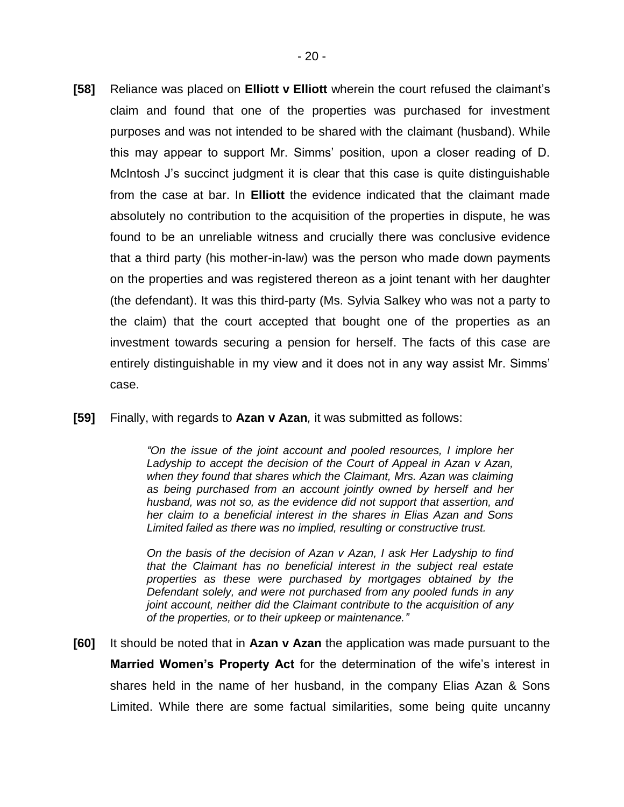- **[58]** Reliance was placed on **Elliott v Elliott** wherein the court refused the claimant's claim and found that one of the properties was purchased for investment purposes and was not intended to be shared with the claimant (husband). While this may appear to support Mr. Simms' position, upon a closer reading of D. McIntosh J's succinct judgment it is clear that this case is quite distinguishable from the case at bar. In **Elliott** the evidence indicated that the claimant made absolutely no contribution to the acquisition of the properties in dispute, he was found to be an unreliable witness and crucially there was conclusive evidence that a third party (his mother-in-law) was the person who made down payments on the properties and was registered thereon as a joint tenant with her daughter (the defendant). It was this third-party (Ms. Sylvia Salkey who was not a party to the claim) that the court accepted that bought one of the properties as an investment towards securing a pension for herself. The facts of this case are entirely distinguishable in my view and it does not in any way assist Mr. Simms' case.
- **[59]** Finally, with regards to **Azan v Azan***,* it was submitted as follows:

*"On the issue of the joint account and pooled resources, I implore her Ladyship to accept the decision of the Court of Appeal in Azan v Azan, when they found that shares which the Claimant, Mrs. Azan was claiming as being purchased from an account jointly owned by herself and her husband, was not so, as the evidence did not support that assertion, and her claim to a beneficial interest in the shares in Elias Azan and Sons Limited failed as there was no implied, resulting or constructive trust.* 

*On the basis of the decision of Azan v Azan, I ask Her Ladyship to find that the Claimant has no beneficial interest in the subject real estate properties as these were purchased by mortgages obtained by the Defendant solely, and were not purchased from any pooled funds in any joint account, neither did the Claimant contribute to the acquisition of any of the properties, or to their upkeep or maintenance."*

**[60]** It should be noted that in **Azan v Azan** the application was made pursuant to the **Married Women's Property Act** for the determination of the wife's interest in shares held in the name of her husband, in the company Elias Azan & Sons Limited. While there are some factual similarities, some being quite uncanny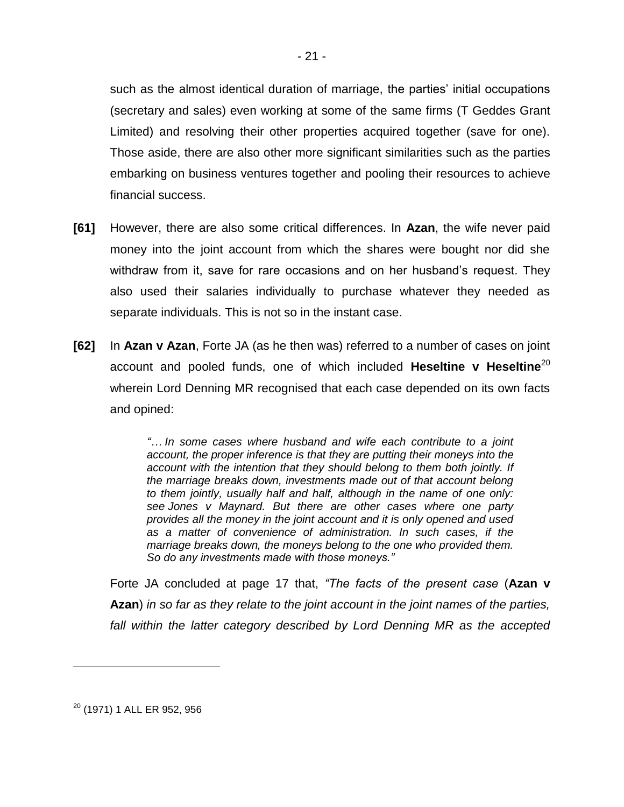such as the almost identical duration of marriage, the parties' initial occupations (secretary and sales) even working at some of the same firms (T Geddes Grant Limited) and resolving their other properties acquired together (save for one). Those aside, there are also other more significant similarities such as the parties embarking on business ventures together and pooling their resources to achieve financial success.

- **[61]** However, there are also some critical differences. In **Azan**, the wife never paid money into the joint account from which the shares were bought nor did she withdraw from it, save for rare occasions and on her husband's request. They also used their salaries individually to purchase whatever they needed as separate individuals. This is not so in the instant case.
- **[62]** In **Azan v Azan**, Forte JA (as he then was) referred to a number of cases on joint account and pooled funds, one of which included **Heseltine v Heseltine**<sup>20</sup> wherein Lord Denning MR recognised that each case depended on its own facts and opined:

*"… In some cases where husband and wife each contribute to a joint account, the proper inference is that they are putting their moneys into the account with the intention that they should belong to them both jointly. If the marriage breaks down, investments made out of that account belong to them jointly, usually half and half, although in the name of one only: see Jones v Maynard. But there are other cases where one party provides all the money in the joint account and it is only opened and used as a matter of convenience of administration. In such cases, if the marriage breaks down, the moneys belong to the one who provided them. So do any investments made with those moneys."*

Forte JA concluded at page 17 that, *"The facts of the present case* (**Azan v Azan**) *in so far as they relate to the joint account in the joint names of the parties,*  fall within the latter category described by Lord Denning MR as the accepted

<sup>20</sup> (1971) 1 ALL ER 952, 956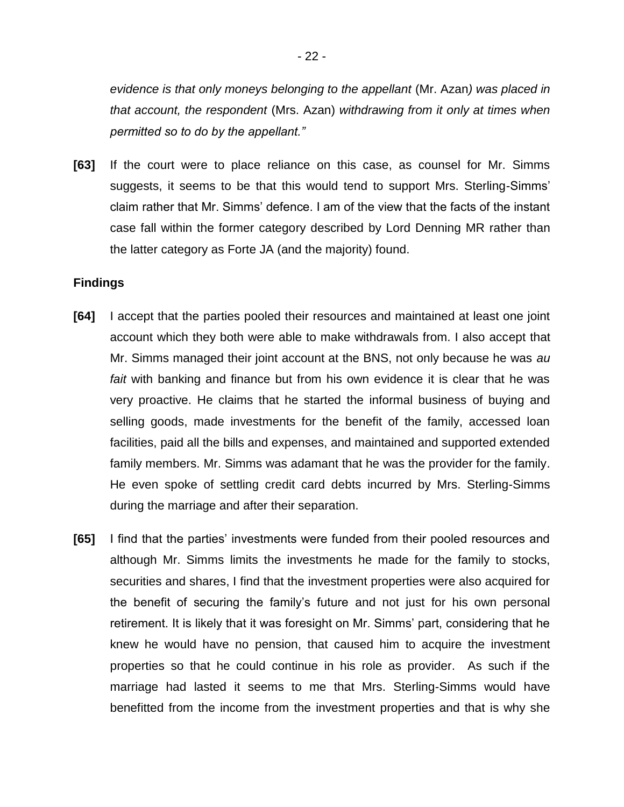*evidence is that only moneys belonging to the appellant* (Mr. Azan*) was placed in that account, the respondent* (Mrs. Azan) *withdrawing from it only at times when permitted so to do by the appellant."* 

**[63]** If the court were to place reliance on this case, as counsel for Mr. Simms suggests, it seems to be that this would tend to support Mrs. Sterling-Simms' claim rather that Mr. Simms' defence. I am of the view that the facts of the instant case fall within the former category described by Lord Denning MR rather than the latter category as Forte JA (and the majority) found.

### **Findings**

- **[64]** I accept that the parties pooled their resources and maintained at least one joint account which they both were able to make withdrawals from. I also accept that Mr. Simms managed their joint account at the BNS, not only because he was *au fait* with banking and finance but from his own evidence it is clear that he was very proactive. He claims that he started the informal business of buying and selling goods, made investments for the benefit of the family, accessed loan facilities, paid all the bills and expenses, and maintained and supported extended family members. Mr. Simms was adamant that he was the provider for the family. He even spoke of settling credit card debts incurred by Mrs. Sterling-Simms during the marriage and after their separation.
- **[65]** I find that the parties' investments were funded from their pooled resources and although Mr. Simms limits the investments he made for the family to stocks, securities and shares, I find that the investment properties were also acquired for the benefit of securing the family's future and not just for his own personal retirement. It is likely that it was foresight on Mr. Simms' part, considering that he knew he would have no pension, that caused him to acquire the investment properties so that he could continue in his role as provider. As such if the marriage had lasted it seems to me that Mrs. Sterling-Simms would have benefitted from the income from the investment properties and that is why she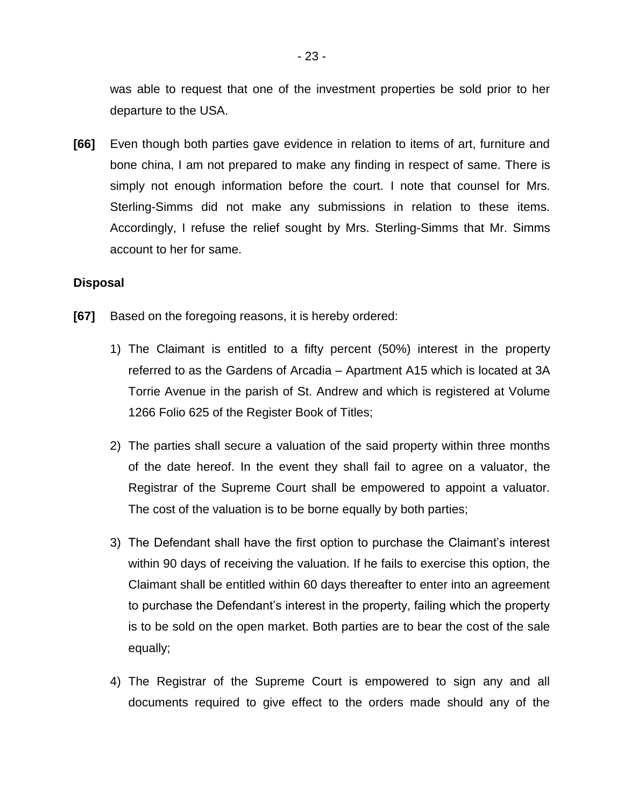was able to request that one of the investment properties be sold prior to her departure to the USA.

**[66]** Even though both parties gave evidence in relation to items of art, furniture and bone china, I am not prepared to make any finding in respect of same. There is simply not enough information before the court. I note that counsel for Mrs. Sterling-Simms did not make any submissions in relation to these items. Accordingly, I refuse the relief sought by Mrs. Sterling-Simms that Mr. Simms account to her for same.

### **Disposal**

- **[67]** Based on the foregoing reasons, it is hereby ordered:
	- 1) The Claimant is entitled to a fifty percent (50%) interest in the property referred to as the Gardens of Arcadia – Apartment A15 which is located at 3A Torrie Avenue in the parish of St. Andrew and which is registered at Volume 1266 Folio 625 of the Register Book of Titles;
	- 2) The parties shall secure a valuation of the said property within three months of the date hereof. In the event they shall fail to agree on a valuator, the Registrar of the Supreme Court shall be empowered to appoint a valuator. The cost of the valuation is to be borne equally by both parties;
	- 3) The Defendant shall have the first option to purchase the Claimant's interest within 90 days of receiving the valuation. If he fails to exercise this option, the Claimant shall be entitled within 60 days thereafter to enter into an agreement to purchase the Defendant's interest in the property, failing which the property is to be sold on the open market. Both parties are to bear the cost of the sale equally;
	- 4) The Registrar of the Supreme Court is empowered to sign any and all documents required to give effect to the orders made should any of the